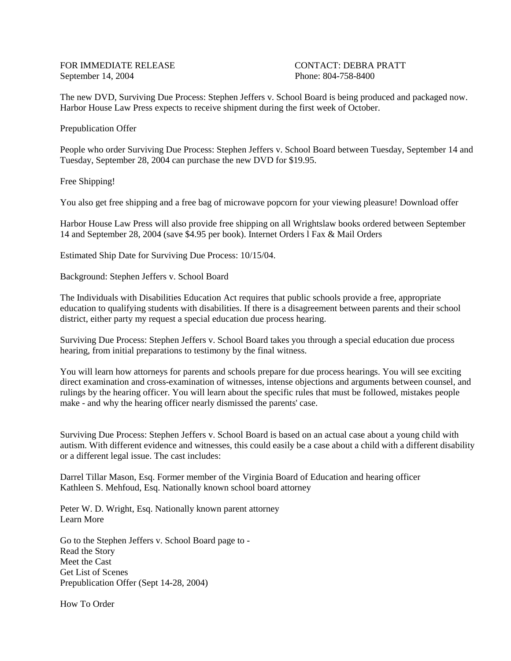FOR IMMEDIATE RELEASE CONTACT: DEBRA PRATT September 14, 2004 **Phone: 804-758-8400** 

The new DVD, Surviving Due Process: Stephen Jeffers v. School Board is being produced and packaged now. Harbor House Law Press expects to receive shipment during the first week of October.

Prepublication Offer

People who order Surviving Due Process: Stephen Jeffers v. School Board between Tuesday, September 14 and Tuesday, September 28, 2004 can purchase the new DVD for \$19.95.

Free Shipping!

You also get free shipping and a free bag of microwave popcorn for your viewing pleasure! Download offer

Harbor House Law Press will also provide free shipping on all Wrightslaw books ordered between September 14 and September 28, 2004 (save \$4.95 per book). Internet Orders l Fax & Mail Orders

Estimated Ship Date for Surviving Due Process: 10/15/04.

Background: Stephen Jeffers v. School Board

The Individuals with Disabilities Education Act requires that public schools provide a free, appropriate education to qualifying students with disabilities. If there is a disagreement between parents and their school district, either party my request a special education due process hearing.

Surviving Due Process: Stephen Jeffers v. School Board takes you through a special education due process hearing, from initial preparations to testimony by the final witness.

You will learn how attorneys for parents and schools prepare for due process hearings. You will see exciting direct examination and cross-examination of witnesses, intense objections and arguments between counsel, and rulings by the hearing officer. You will learn about the specific rules that must be followed, mistakes people make - and why the hearing officer nearly dismissed the parents' case.

Surviving Due Process: Stephen Jeffers v. School Board is based on an actual case about a young child with autism. With different evidence and witnesses, this could easily be a case about a child with a different disability or a different legal issue. The cast includes:

Darrel Tillar Mason, Esq. Former member of the Virginia Board of Education and hearing officer Kathleen S. Mehfoud, Esq. Nationally known school board attorney

Peter W. D. Wright, Esq. Nationally known parent attorney Learn More

Go to the Stephen Jeffers v. School Board page to - Read the Story Meet the Cast Get List of Scenes Prepublication Offer (Sept 14-28, 2004)

How To Order